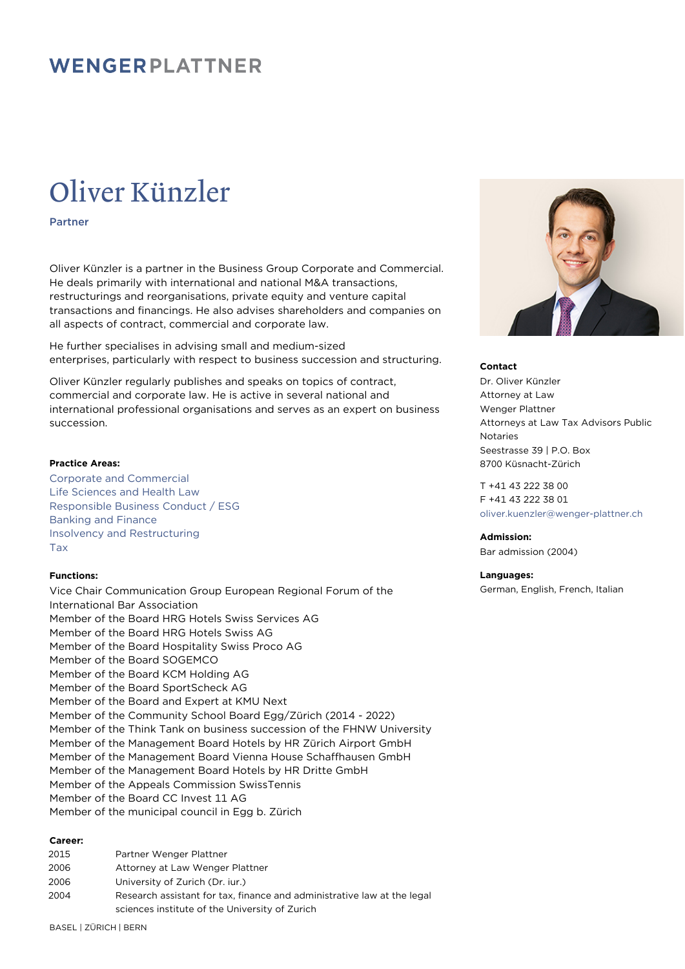# Oliver Künzler

Partner

Oliver Künzler is a partner in the Business Group Corporate and Commercial. He deals primarily with international and national M&A transactions, restructurings and reorganisations, private equity and venture capital transactions and financings. He also advises shareholders and companies on all aspects of contract, commercial and corporate law.

He further specialises in advising small and medium-sized enterprises, particularly with respect to business succession and structuring.

Oliver Künzler regularly publishes and speaks on topics of contract, commercial and corporate law. He is active in several national and international professional organisations and serves as an expert on business succession.

### **Practice Areas:**

Corporate and Commercial Life Sciences and Health Law Responsible Business Conduct / ESG Banking and Finance Insolvency and Restructuring Tax

### **Functions:**

Vice Chair Communication Group European Regional Forum of the International Bar Association Member of the Board HRG Hotels Swiss Services AG Member of the Board HRG Hotels Swiss AG Member of the Board Hospitality Swiss Proco AG Member of the Board SOGEMCO Member of the Board KCM Holding AG Member of the Board SportScheck AG Member of the Board and Expert at KMU Next Member of the Community School Board Egg/Zürich (2014 - 2022) Member of the Think Tank on business succession of the FHNW University Member of the Management Board Hotels by HR Zürich Airport GmbH Member of the Management Board Vienna House Schaffhausen GmbH Member of the Management Board Hotels by HR Dritte GmbH Member of the Appeals Commission SwissTennis Member of the Board CC Invest 11 AG Member of the municipal council in Egg b. Zürich

#### **Career:**

| 2015 | Partner Wenger Plattner                                                 |
|------|-------------------------------------------------------------------------|
| 2006 | Attorney at Law Wenger Plattner                                         |
| 2006 | University of Zurich (Dr. jur.)                                         |
| 2004 | Research assistant for tax, finance and administrative law at the legal |
|      | sciences institute of the University of Zurich                          |
|      |                                                                         |



#### **Contact**

Dr. Oliver Künzler Attorney at Law Wenger Plattner Attorneys at Law Tax Advisors Public Notaries Seestrasse 39 | P.O. Box 8700 Küsnacht-Zürich

T +41 43 222 38 00 F +41 43 222 38 01 [oliver.kuenzler@wenger-plattner.ch](mailto:oliver.kuenzler@wenger-plattner.ch)

### **Admission:**

Bar admission (2004)

#### **Languages:**

German, English, French, Italian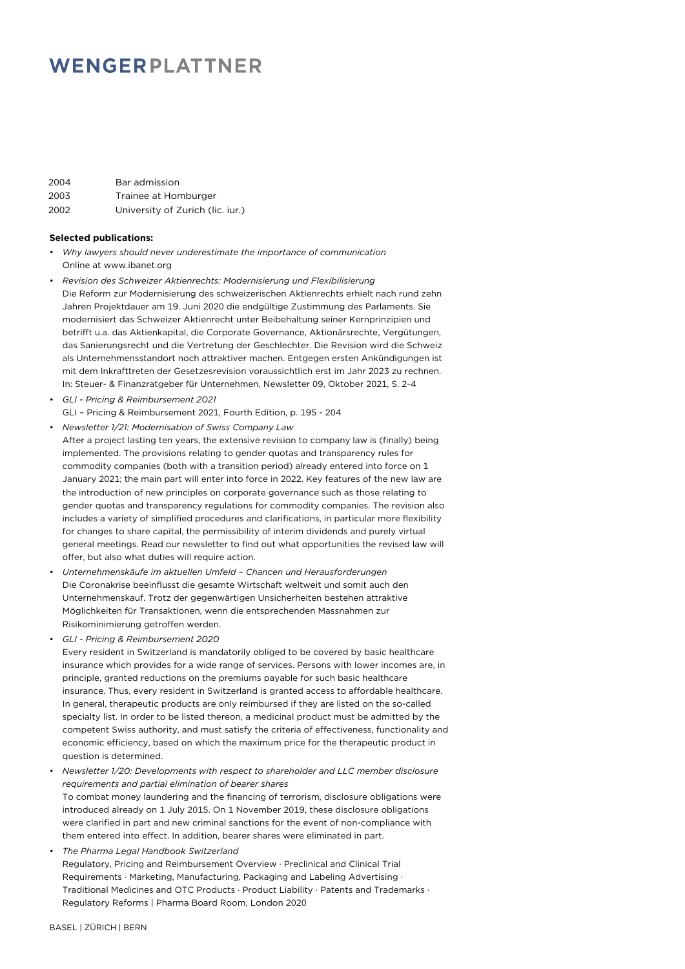| 2004 | Bar admission                    |
|------|----------------------------------|
| 2003 | Trainee at Homburger             |
| 2002 | University of Zurich (lic. iur.) |

#### **Selected publications:**

- *Why lawyers should never underestimate the importance of communication* Online at www.ibanet.org
- *Revision des Schweizer Aktienrechts: Modernisierung und Flexibilisierung* Die Reform zur Modernisierung des schweizerischen Aktienrechts erhielt nach rund zehn Jahren Projektdauer am 19. Juni 2020 die endgültige Zustimmung des Parlaments. Sie modernisiert das Schweizer Aktienrecht unter Beibehaltung seiner Kernprinzipien und betrifft u.a. das Aktienkapital, die Corporate Governance, Aktionärsrechte, Vergütungen, das Sanierungsrecht und die Vertretung der Geschlechter. Die Revision wird die Schweiz als Unternehmensstandort noch attraktiver machen. Entgegen ersten Ankündigungen ist mit dem Inkrafttreten der Gesetzesrevision voraussichtlich erst im Jahr 2023 zu rechnen. In: Steuer- & Finanzratgeber für Unternehmen, Newsletter 09, Oktober 2021, S. 2-4
- *GLI Pricing & Reimbursement 2021* GLI – Pricing & Reimbursement 2021, Fourth Edition, p. 195 - 204
- *Newsletter 1/21: Modernisation of Swiss Company Law*
- After a project lasting ten years, the extensive revision to company law is (finally) being implemented. The provisions relating to gender quotas and transparency rules for commodity companies (both with a transition period) already entered into force on 1 January 2021; the main part will enter into force in 2022. Key features of the new law are the introduction of new principles on corporate governance such as those relating to gender quotas and transparency regulations for commodity companies. The revision also includes a variety of simplified procedures and clarifications, in particular more flexibility for changes to share capital, the permissibility of interim dividends and purely virtual general meetings. Read our newsletter to find out what opportunities the revised law will offer, but also what duties will require action.
- *Unternehmenskäufe im aktuellen Umfeld Chancen und Herausforderungen* Die Coronakrise beeinflusst die gesamte Wirtschaft weltweit und somit auch den Unternehmenskauf. Trotz der gegenwärtigen Unsicherheiten bestehen attraktive Möglichkeiten für Transaktionen, wenn die entsprechenden Massnahmen zur Risikominimierung getroffen werden.
- *GLI Pricing & Reimbursement 2020*

Every resident in Switzerland is mandatorily obliged to be covered by basic healthcare insurance which provides for a wide range of services. Persons with lower incomes are, in principle, granted reductions on the premiums payable for such basic healthcare insurance. Thus, every resident in Switzerland is granted access to affordable healthcare. In general, therapeutic products are only reimbursed if they are listed on the so-called specialty list. In order to be listed thereon, a medicinal product must be admitted by the competent Swiss authority, and must satisfy the criteria of effectiveness, functionality and economic efficiency, based on which the maximum price for the therapeutic product in question is determined.

• *Newsletter 1/20: Developments with respect to shareholder and LLC member disclosure requirements and partial elimination of bearer shares*

To combat money laundering and the financing of terrorism, disclosure obligations were introduced already on 1 July 2015. On 1 November 2019, these disclosure obligations were clarified in part and new criminal sanctions for the event of non-compliance with them entered into effect. In addition, bearer shares were eliminated in part.

• *The Pharma Legal Handbook Switzerland*

Regulatory, Pricing and Reimbursement Overview · Preclinical and Clinical Trial Requirements · Marketing, Manufacturing, Packaging and Labeling Advertising · Traditional Medicines and OTC Products · Product Liability · Patents and Trademarks · Regulatory Reforms | Pharma Board Room, London 2020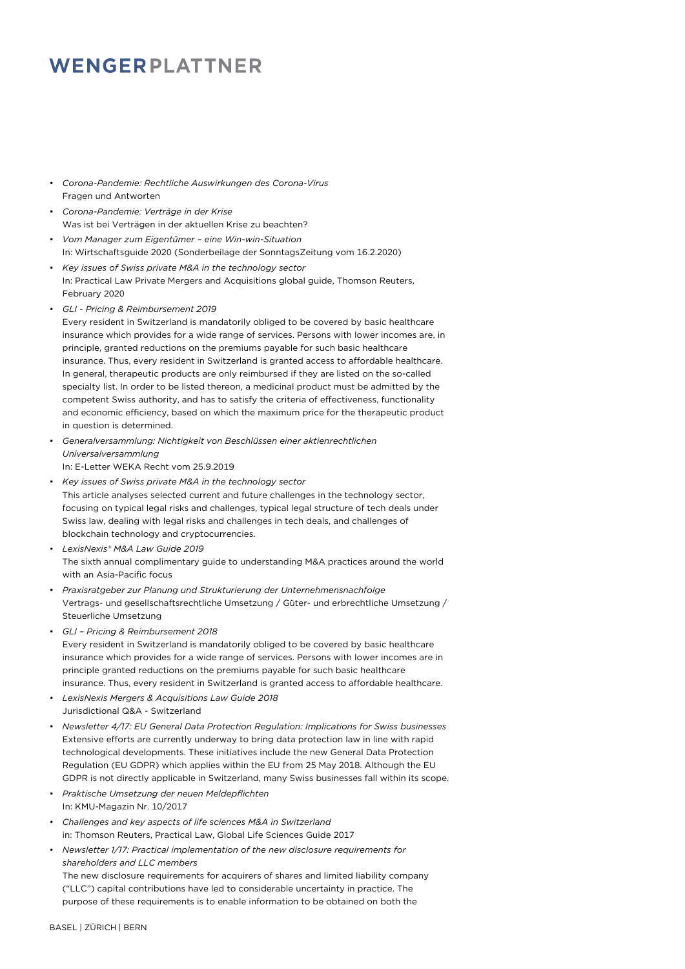- *Corona-Pandemie: Rechtliche Auswirkungen des Corona-Virus* Fragen und Antworten
- *Corona-Pandemie: Verträge in der Krise* Was ist bei Verträgen in der aktuellen Krise zu beachten?
- *Vom Manager zum Eigentümer eine Win-win-Situation* In: Wirtschaftsguide 2020 (Sonderbeilage der SonntagsZeitung vom 16.2.2020)
- *Key issues of Swiss private M&A in the technology sector* In: Practical Law Private Mergers and Acquisitions global guide, Thomson Reuters, February 2020
- *GLI Pricing & Reimbursement 2019*

Every resident in Switzerland is mandatorily obliged to be covered by basic healthcare insurance which provides for a wide range of services. Persons with lower incomes are, in principle, granted reductions on the premiums payable for such basic healthcare insurance. Thus, every resident in Switzerland is granted access to affordable healthcare. In general, therapeutic products are only reimbursed if they are listed on the so-called specialty list. In order to be listed thereon, a medicinal product must be admitted by the competent Swiss authority, and has to satisfy the criteria of effectiveness, functionality and economic efficiency, based on which the maximum price for the therapeutic product in question is determined.

- *Generalversammlung: Nichtigkeit von Beschlüssen einer aktienrechtlichen Universalversammlung*
- In: E-Letter WEKA Recht vom 25.9.2019

• *Key issues of Swiss private M&A in the technology sector* This article analyses selected current and future challenges in the technology sector, focusing on typical legal risks and challenges, typical legal structure of tech deals under Swiss law, dealing with legal risks and challenges in tech deals, and challenges of blockchain technology and cryptocurrencies.

- *LexisNexis® M&A Law Guide 2019* The sixth annual complimentary guide to understanding M&A practices around the world with an Asia-Pacific focus
- *Praxisratgeber zur Planung und Strukturierung der Unternehmensnachfolge* Vertrags- und gesellschaftsrechtliche Umsetzung / Güter- und erbrechtliche Umsetzung / Steuerliche Umsetzung
- *GLI Pricing & Reimbursement 2018*

Every resident in Switzerland is mandatorily obliged to be covered by basic healthcare insurance which provides for a wide range of services. Persons with lower incomes are in principle granted reductions on the premiums payable for such basic healthcare insurance. Thus, every resident in Switzerland is granted access to affordable healthcare.

- *LexisNexis Mergers & Acquisitions Law Guide 2018* Jurisdictional Q&A - Switzerland
- *Newsletter 4/17: EU General Data Protection Regulation: Implications for Swiss businesses* Extensive efforts are currently underway to bring data protection law in line with rapid technological developments. These initiatives include the new General Data Protection Regulation (EU GDPR) which applies within the EU from 25 May 2018. Although the EU GDPR is not directly applicable in Switzerland, many Swiss businesses fall within its scope.
- *Praktische Umsetzung der neuen Meldepflichten* In: KMU-Magazin Nr. 10/2017
- *Challenges and key aspects of life sciences M&A in Switzerland* in: Thomson Reuters, Practical Law, Global Life Sciences Guide 2017
- *Newsletter 1/17: Practical implementation of the new disclosure requirements for shareholders and LLC members*

The new disclosure requirements for acquirers of shares and limited liability company ("LLC") capital contributions have led to considerable uncertainty in practice. The purpose of these requirements is to enable information to be obtained on both the